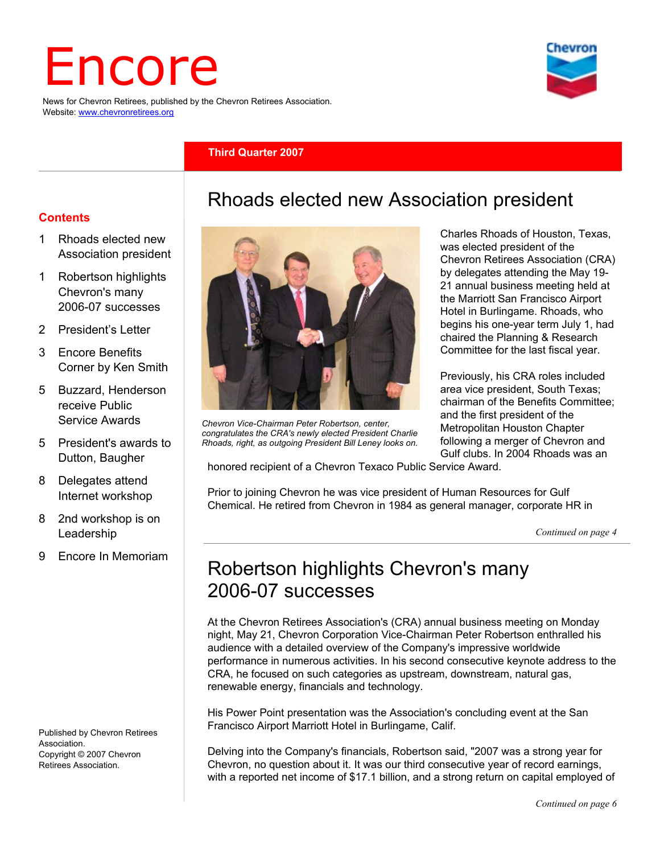# Encore

News for Chevron Retirees, published by the Chevron Retirees Association. Website: www.chevronretirees.org

#### **Third Quarter 2007**

#### **Contents**

- 1 Rhoads elected new Association president
- 1 Robertson highlights Chevron's many 2006-07 successes
- 2 President's Letter
- 3 Encore Benefits Corner by Ken Smith
- 5 Buzzard, Henderson receive Public Service Awards
- 5 President's awards to Dutton, Baugher
- 8 Delegates attend Internet workshop
- 8 2nd workshop is on Leadership
- 9 Encore In Memoriam

Published by Chevron Retirees Association. Copyright © 2007 Chevron Retirees Association.



*Chevron Vice-Chairman Peter Robertson, center, congratulates the CRA's newly elected President Charlie Rhoads, right, as outgoing President Bill Leney looks on.* 

Charles Rhoads of Houston, Texas, was elected president of the Chevron Retirees Association (CRA) by delegates attending the May 19- 21 annual business meeting held at the Marriott San Francisco Airport Hotel in Burlingame. Rhoads, who begins his one-year term July 1, had chaired the Planning & Research Committee for the last fiscal year.

Previously, his CRA roles included area vice president, South Texas; chairman of the Benefits Committee; and the first president of the Metropolitan Houston Chapter following a merger of Chevron and Gulf clubs. In 2004 Rhoads was an

honored recipient of a Chevron Texaco Public Service Award.

Prior to joining Chevron he was vice president of Human Resources for Gulf Chemical. He retired from Chevron in 1984 as general manager, corporate HR in

Rhoads elected new Association president

*Continued on page 4*

# Robertson highlights Chevron's many 2006-07 successes

At the Chevron Retirees Association's (CRA) annual business meeting on Monday night, May 21, Chevron Corporation Vice-Chairman Peter Robertson enthralled his audience with a detailed overview of the Company's impressive worldwide performance in numerous activities. In his second consecutive keynote address to the CRA, he focused on such categories as upstream, downstream, natural gas, renewable energy, financials and technology.

His Power Point presentation was the Association's concluding event at the San Francisco Airport Marriott Hotel in Burlingame, Calif.

Delving into the Company's financials, Robertson said, "2007 was a strong year for Chevron, no question about it. It was our third consecutive year of record earnings, with a reported net income of \$17.1 billion, and a strong return on capital employed of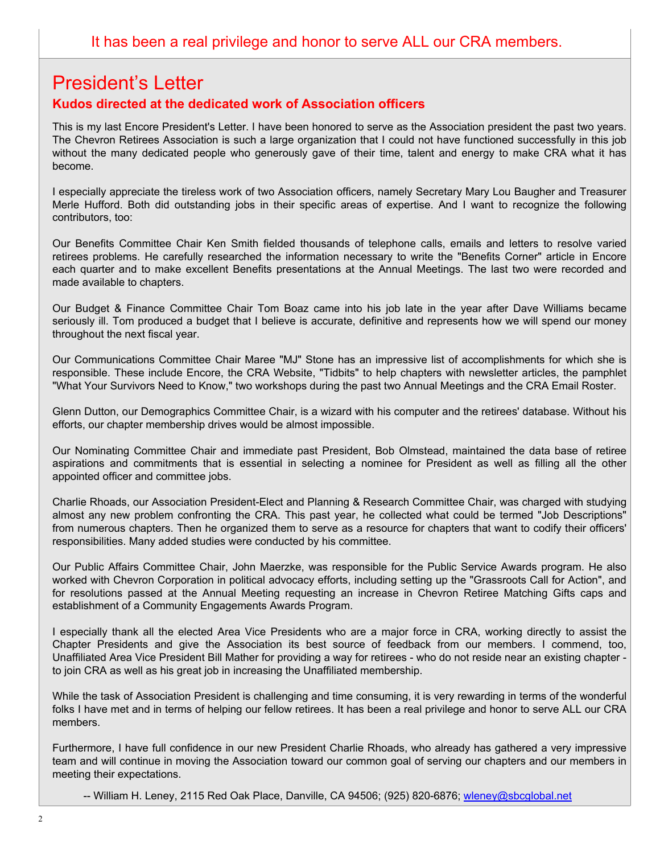# President's Letter

### **Kudos directed at the dedicated work of Association officers**

This is my last Encore President's Letter. I have been honored to serve as the Association president the past two years. The Chevron Retirees Association is such a large organization that I could not have functioned successfully in this job without the many dedicated people who generously gave of their time, talent and energy to make CRA what it has become.

I especially appreciate the tireless work of two Association officers, namely Secretary Mary Lou Baugher and Treasurer Merle Hufford. Both did outstanding jobs in their specific areas of expertise. And I want to recognize the following contributors, too:

Our Benefits Committee Chair Ken Smith fielded thousands of telephone calls, emails and letters to resolve varied retirees problems. He carefully researched the information necessary to write the "Benefits Corner" article in Encore each quarter and to make excellent Benefits presentations at the Annual Meetings. The last two were recorded and made available to chapters.

Our Budget & Finance Committee Chair Tom Boaz came into his job late in the year after Dave Williams became seriously ill. Tom produced a budget that I believe is accurate, definitive and represents how we will spend our money throughout the next fiscal year.

Our Communications Committee Chair Maree "MJ" Stone has an impressive list of accomplishments for which she is responsible. These include Encore, the CRA Website, "Tidbits" to help chapters with newsletter articles, the pamphlet "What Your Survivors Need to Know," two workshops during the past two Annual Meetings and the CRA Email Roster.

Glenn Dutton, our Demographics Committee Chair, is a wizard with his computer and the retirees' database. Without his efforts, our chapter membership drives would be almost impossible.

Our Nominating Committee Chair and immediate past President, Bob Olmstead, maintained the data base of retiree aspirations and commitments that is essential in selecting a nominee for President as well as filling all the other appointed officer and committee jobs.

Charlie Rhoads, our Association President-Elect and Planning & Research Committee Chair, was charged with studying almost any new problem confronting the CRA. This past year, he collected what could be termed "Job Descriptions" from numerous chapters. Then he organized them to serve as a resource for chapters that want to codify their officers' responsibilities. Many added studies were conducted by his committee.

Our Public Affairs Committee Chair, John Maerzke, was responsible for the Public Service Awards program. He also worked with Chevron Corporation in political advocacy efforts, including setting up the "Grassroots Call for Action", and for resolutions passed at the Annual Meeting requesting an increase in Chevron Retiree Matching Gifts caps and establishment of a Community Engagements Awards Program.

I especially thank all the elected Area Vice Presidents who are a major force in CRA, working directly to assist the Chapter Presidents and give the Association its best source of feedback from our members. I commend, too, Unaffiliated Area Vice President Bill Mather for providing a way for retirees - who do not reside near an existing chapter to join CRA as well as his great job in increasing the Unaffiliated membership.

While the task of Association President is challenging and time consuming, it is very rewarding in terms of the wonderful folks I have met and in terms of helping our fellow retirees. It has been a real privilege and honor to serve ALL our CRA members.

Furthermore, I have full confidence in our new President Charlie Rhoads, who already has gathered a very impressive team and will continue in moving the Association toward our common goal of serving our chapters and our members in meeting their expectations.

-- William H. Leney, 2115 Red Oak Place, Danville, CA 94506; (925) 820-6876; wleney@sbcglobal.net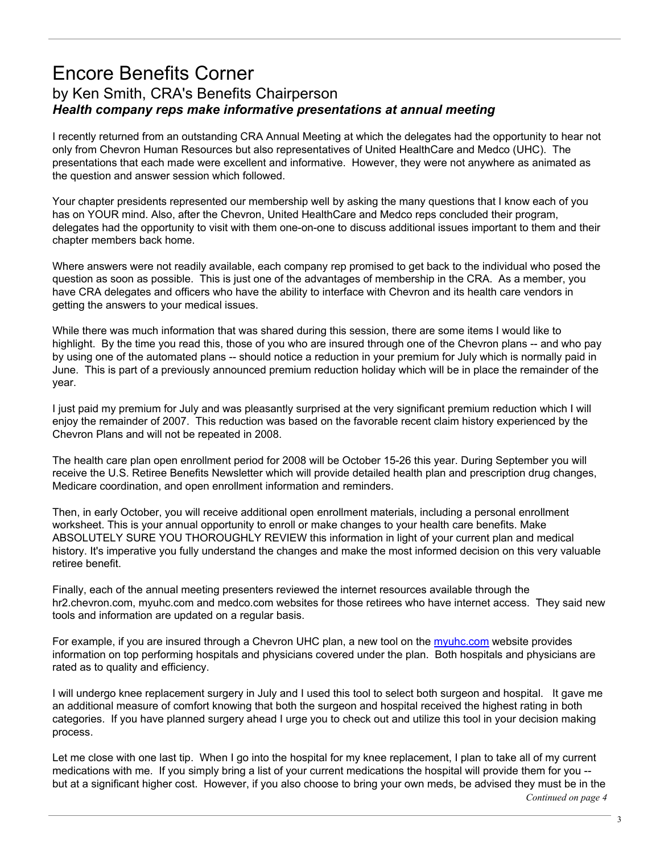# Encore Benefits Corner by Ken Smith, CRA's Benefits Chairperson *Health company reps make informative presentations at annual meeting*

I recently returned from an outstanding CRA Annual Meeting at which the delegates had the opportunity to hear not only from Chevron Human Resources but also representatives of United HealthCare and Medco (UHC). The presentations that each made were excellent and informative. However, they were not anywhere as animated as the question and answer session which followed.

Your chapter presidents represented our membership well by asking the many questions that I know each of you has on YOUR mind. Also, after the Chevron, United HealthCare and Medco reps concluded their program, delegates had the opportunity to visit with them one-on-one to discuss additional issues important to them and their chapter members back home.

Where answers were not readily available, each company rep promised to get back to the individual who posed the question as soon as possible. This is just one of the advantages of membership in the CRA. As a member, you have CRA delegates and officers who have the ability to interface with Chevron and its health care vendors in getting the answers to your medical issues.

While there was much information that was shared during this session, there are some items I would like to highlight. By the time you read this, those of you who are insured through one of the Chevron plans -- and who pay by using one of the automated plans -- should notice a reduction in your premium for July which is normally paid in June. This is part of a previously announced premium reduction holiday which will be in place the remainder of the year.

I just paid my premium for July and was pleasantly surprised at the very significant premium reduction which I will enjoy the remainder of 2007. This reduction was based on the favorable recent claim history experienced by the Chevron Plans and will not be repeated in 2008.

The health care plan open enrollment period for 2008 will be October 15-26 this year. During September you will receive the U.S. Retiree Benefits Newsletter which will provide detailed health plan and prescription drug changes, Medicare coordination, and open enrollment information and reminders.

Then, in early October, you will receive additional open enrollment materials, including a personal enrollment worksheet. This is your annual opportunity to enroll or make changes to your health care benefits. Make ABSOLUTELY SURE YOU THOROUGHLY REVIEW this information in light of your current plan and medical history. It's imperative you fully understand the changes and make the most informed decision on this very valuable retiree benefit.

Finally, each of the annual meeting presenters reviewed the internet resources available through the hr2.chevron.com, myuhc.com and medco.com websites for those retirees who have internet access. They said new tools and information are updated on a regular basis.

For example, if you are insured through a Chevron UHC plan, a new tool on the myuhc.com website provides information on top performing hospitals and physicians covered under the plan. Both hospitals and physicians are rated as to quality and efficiency.

I will undergo knee replacement surgery in July and I used this tool to select both surgeon and hospital. It gave me an additional measure of comfort knowing that both the surgeon and hospital received the highest rating in both categories. If you have planned surgery ahead I urge you to check out and utilize this tool in your decision making process.

Let me close with one last tip. When I go into the hospital for my knee replacement, I plan to take all of my current medications with me. If you simply bring a list of your current medications the hospital will provide them for you - but at a significant higher cost. However, if you also choose to bring your own meds, be advised they must be in the *Continued on page 4*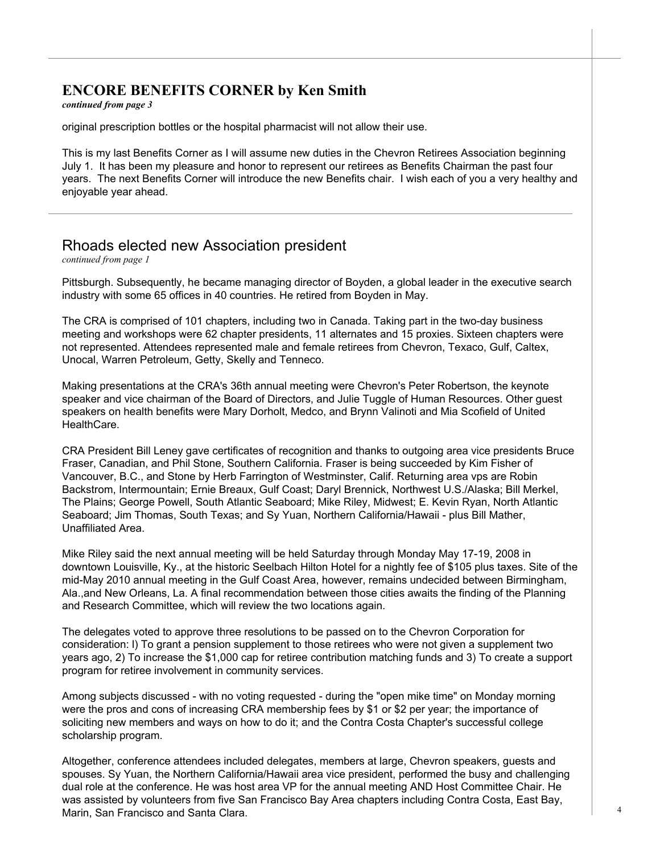## **ENCORE BENEFITS CORNER by Ken Smith**

*continued from page 3*

original prescription bottles or the hospital pharmacist will not allow their use.

This is my last Benefits Corner as I will assume new duties in the Chevron Retirees Association beginning July 1. It has been my pleasure and honor to represent our retirees as Benefits Chairman the past four years. The next Benefits Corner will introduce the new Benefits chair. I wish each of you a very healthy and enjoyable year ahead.

# Rhoads elected new Association president

*continued from page 1*

Pittsburgh. Subsequently, he became managing director of Boyden, a global leader in the executive search industry with some 65 offices in 40 countries. He retired from Boyden in May.

The CRA is comprised of 101 chapters, including two in Canada. Taking part in the two-day business meeting and workshops were 62 chapter presidents, 11 alternates and 15 proxies. Sixteen chapters were not represented. Attendees represented male and female retirees from Chevron, Texaco, Gulf, Caltex, Unocal, Warren Petroleum, Getty, Skelly and Tenneco.

Making presentations at the CRA's 36th annual meeting were Chevron's Peter Robertson, the keynote speaker and vice chairman of the Board of Directors, and Julie Tuggle of Human Resources. Other guest speakers on health benefits were Mary Dorholt, Medco, and Brynn Valinoti and Mia Scofield of United HealthCare.

CRA President Bill Leney gave certificates of recognition and thanks to outgoing area vice presidents Bruce Fraser, Canadian, and Phil Stone, Southern California. Fraser is being succeeded by Kim Fisher of Vancouver, B.C., and Stone by Herb Farrington of Westminster, Calif. Returning area vps are Robin Backstrom, Intermountain; Ernie Breaux, Gulf Coast; Daryl Brennick, Northwest U.S./Alaska; Bill Merkel, The Plains; George Powell, South Atlantic Seaboard; Mike Riley, Midwest; E. Kevin Ryan, North Atlantic Seaboard; Jim Thomas, South Texas; and Sy Yuan, Northern California/Hawaii - plus Bill Mather, Unaffiliated Area.

Mike Riley said the next annual meeting will be held Saturday through Monday May 17-19, 2008 in downtown Louisville, Ky., at the historic Seelbach Hilton Hotel for a nightly fee of \$105 plus taxes. Site of the mid-May 2010 annual meeting in the Gulf Coast Area, however, remains undecided between Birmingham, Ala.,and New Orleans, La. A final recommendation between those cities awaits the finding of the Planning and Research Committee, which will review the two locations again.

The delegates voted to approve three resolutions to be passed on to the Chevron Corporation for consideration: l) To grant a pension supplement to those retirees who were not given a supplement two years ago, 2) To increase the \$1,000 cap for retiree contribution matching funds and 3) To create a support program for retiree involvement in community services.

Among subjects discussed - with no voting requested - during the "open mike time" on Monday morning were the pros and cons of increasing CRA membership fees by \$1 or \$2 per year; the importance of soliciting new members and ways on how to do it; and the Contra Costa Chapter's successful college scholarship program.

Altogether, conference attendees included delegates, members at large, Chevron speakers, guests and spouses. Sy Yuan, the Northern California/Hawaii area vice president, performed the busy and challenging dual role at the conference. He was host area VP for the annual meeting AND Host Committee Chair. He was assisted by volunteers from five San Francisco Bay Area chapters including Contra Costa, East Bay, Marin, San Francisco and Santa Clara.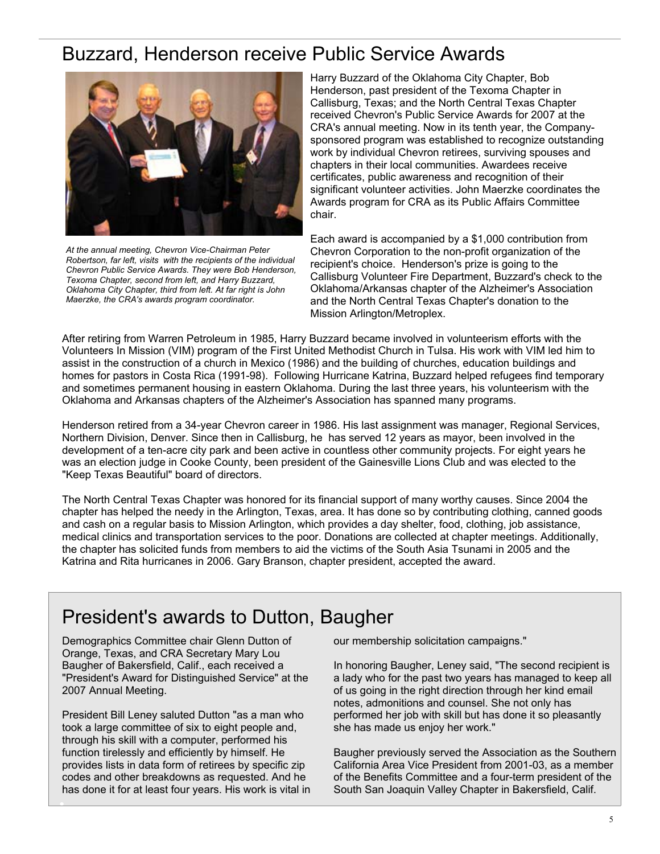# Buzzard, Henderson receive Public Service Awards



*At the annual meeting, Chevron Vice-Chairman Peter Robertson, far left, visits with the recipients of the individual Chevron Public Service Awards. They were Bob Henderson, Texoma Chapter, second from left, and Harry Buzzard, Oklahoma City Chapter, third from left. At far right is John Maerzke, the CRA's awards program coordinator.* 

Harry Buzzard of the Oklahoma City Chapter, Bob Henderson, past president of the Texoma Chapter in Callisburg, Texas; and the North Central Texas Chapter received Chevron's Public Service Awards for 2007 at the CRA's annual meeting. Now in its tenth year, the Companysponsored program was established to recognize outstanding work by individual Chevron retirees, surviving spouses and chapters in their local communities. Awardees receive certificates, public awareness and recognition of their significant volunteer activities. John Maerzke coordinates the Awards program for CRA as its Public Affairs Committee chair.

Each award is accompanied by a \$1,000 contribution from Chevron Corporation to the non-profit organization of the recipient's choice. Henderson's prize is going to the Callisburg Volunteer Fire Department, Buzzard's check to the Oklahoma/Arkansas chapter of the Alzheimer's Association and the North Central Texas Chapter's donation to the Mission Arlington/Metroplex.

After retiring from Warren Petroleum in 1985, Harry Buzzard became involved in volunteerism efforts with the Volunteers In Mission (VIM) program of the First United Methodist Church in Tulsa. His work with VIM led him to assist in the construction of a church in Mexico (1986) and the building of churches, education buildings and homes for pastors in Costa Rica (1991-98). Following Hurricane Katrina, Buzzard helped refugees find temporary and sometimes permanent housing in eastern Oklahoma. During the last three years, his volunteerism with the Oklahoma and Arkansas chapters of the Alzheimer's Association has spanned many programs.

Henderson retired from a 34-year Chevron career in 1986. His last assignment was manager, Regional Services, Northern Division, Denver. Since then in Callisburg, he has served 12 years as mayor, been involved in the development of a ten-acre city park and been active in countless other community projects. For eight years he was an election judge in Cooke County, been president of the Gainesville Lions Club and was elected to the "Keep Texas Beautiful" board of directors.

The North Central Texas Chapter was honored for its financial support of many worthy causes. Since 2004 the chapter has helped the needy in the Arlington, Texas, area. It has done so by contributing clothing, canned goods and cash on a regular basis to Mission Arlington, which provides a day shelter, food, clothing, job assistance, medical clinics and transportation services to the poor. Donations are collected at chapter meetings. Additionally, the chapter has solicited funds from members to aid the victims of the South Asia Tsunami in 2005 and the Katrina and Rita hurricanes in 2006. Gary Branson, chapter president, accepted the award.

# President's awards to Dutton, Baugher

Demographics Committee chair Glenn Dutton of Orange, Texas, and CRA Secretary Mary Lou Baugher of Bakersfield, Calif., each received a "President's Award for Distinguished Service" at the 2007 Annual Meeting.

President Bill Leney saluted Dutton "as a man who took a large committee of six to eight people and, through his skill with a computer, performed his function tirelessly and efficiently by himself. He provides lists in data form of retirees by specific zip codes and other breakdowns as requested. And he has done it for at least four years. His work is vital in our membership solicitation campaigns."

In honoring Baugher, Leney said, "The second recipient is a lady who for the past two years has managed to keep all of us going in the right direction through her kind email notes, admonitions and counsel. She not only has performed her job with skill but has done it so pleasantly she has made us enjoy her work."

Baugher previously served the Association as the Southern California Area Vice President from 2001-03, as a member of the Benefits Committee and a four-term president of the South San Joaquin Valley Chapter in Bakersfield, Calif.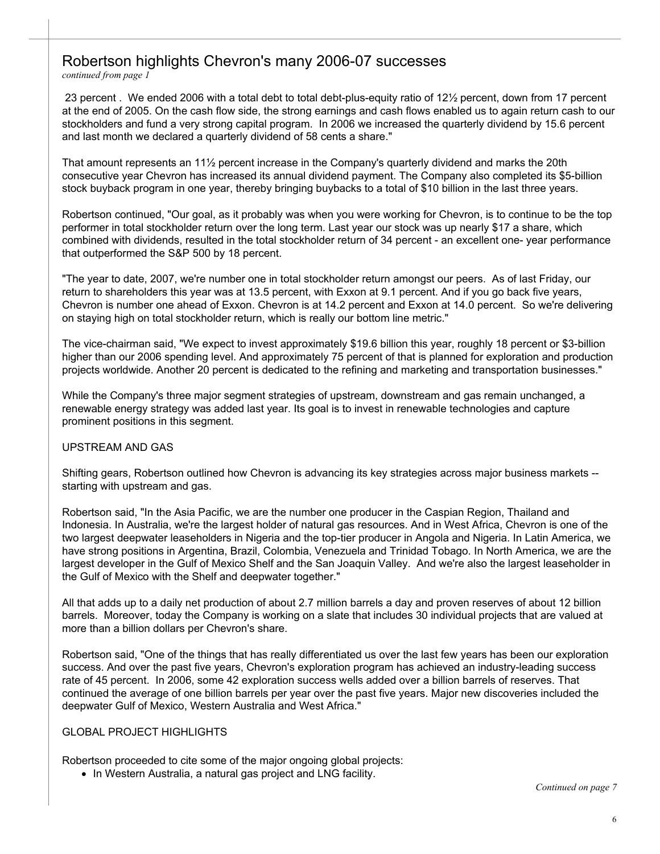# Robertson highlights Chevron's many 2006-07 successes

*continued from page 1*

 23 percent . We ended 2006 with a total debt to total debt-plus-equity ratio of 12½ percent, down from 17 percent at the end of 2005. On the cash flow side, the strong earnings and cash flows enabled us to again return cash to our stockholders and fund a very strong capital program. In 2006 we increased the quarterly dividend by 15.6 percent and last month we declared a quarterly dividend of 58 cents a share."

That amount represents an 11½ percent increase in the Company's quarterly dividend and marks the 20th consecutive year Chevron has increased its annual dividend payment. The Company also completed its \$5-billion stock buyback program in one year, thereby bringing buybacks to a total of \$10 billion in the last three years.

Robertson continued, "Our goal, as it probably was when you were working for Chevron, is to continue to be the top performer in total stockholder return over the long term. Last year our stock was up nearly \$17 a share, which combined with dividends, resulted in the total stockholder return of 34 percent - an excellent one- year performance that outperformed the S&P 500 by 18 percent.

"The year to date, 2007, we're number one in total stockholder return amongst our peers. As of last Friday, our return to shareholders this year was at 13.5 percent, with Exxon at 9.1 percent. And if you go back five years, Chevron is number one ahead of Exxon. Chevron is at 14.2 percent and Exxon at 14.0 percent. So we're delivering on staying high on total stockholder return, which is really our bottom line metric."

The vice-chairman said, "We expect to invest approximately \$19.6 billion this year, roughly 18 percent or \$3-billion higher than our 2006 spending level. And approximately 75 percent of that is planned for exploration and production projects worldwide. Another 20 percent is dedicated to the refining and marketing and transportation businesses."

While the Company's three major segment strategies of upstream, downstream and gas remain unchanged, a renewable energy strategy was added last year. Its goal is to invest in renewable technologies and capture prominent positions in this segment.

#### UPSTREAM AND GAS

Shifting gears, Robertson outlined how Chevron is advancing its key strategies across major business markets - starting with upstream and gas.

Robertson said, "In the Asia Pacific, we are the number one producer in the Caspian Region, Thailand and Indonesia. In Australia, we're the largest holder of natural gas resources. And in West Africa, Chevron is one of the two largest deepwater leaseholders in Nigeria and the top-tier producer in Angola and Nigeria. In Latin America, we have strong positions in Argentina, Brazil, Colombia, Venezuela and Trinidad Tobago. In North America, we are the largest developer in the Gulf of Mexico Shelf and the San Joaquin Valley. And we're also the largest leaseholder in the Gulf of Mexico with the Shelf and deepwater together."

All that adds up to a daily net production of about 2.7 million barrels a day and proven reserves of about 12 billion barrels. Moreover, today the Company is working on a slate that includes 30 individual projects that are valued at more than a billion dollars per Chevron's share.

Robertson said, "One of the things that has really differentiated us over the last few years has been our exploration success. And over the past five years, Chevron's exploration program has achieved an industry-leading success rate of 45 percent. In 2006, some 42 exploration success wells added over a billion barrels of reserves. That continued the average of one billion barrels per year over the past five years. Major new discoveries included the deepwater Gulf of Mexico, Western Australia and West Africa."

#### GLOBAL PROJECT HIGHLIGHTS

Robertson proceeded to cite some of the major ongoing global projects:

• In Western Australia, a natural gas project and LNG facility.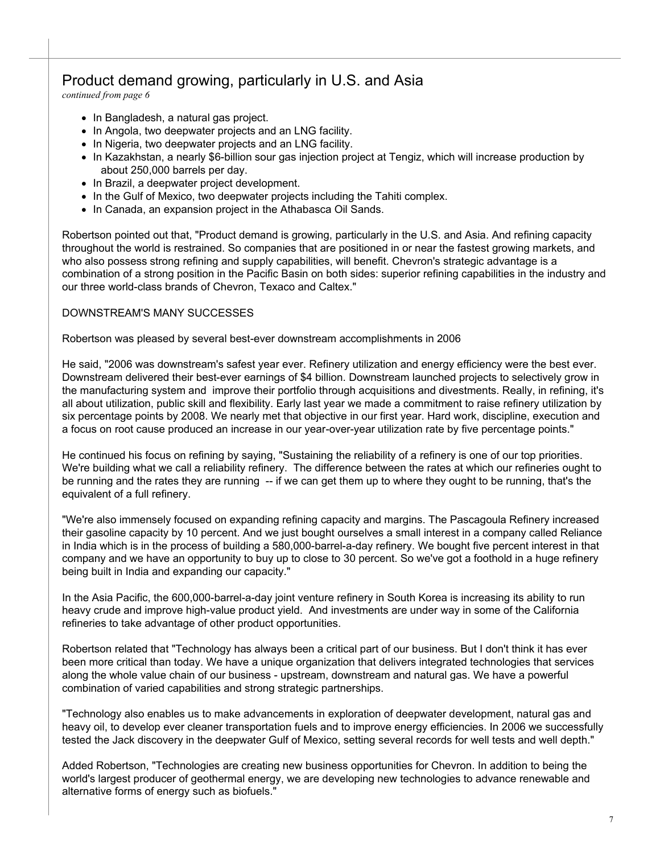# Product demand growing, particularly in U.S. and Asia

*continued from page 6*

- In Bangladesh, a natural gas project.
- In Angola, two deepwater projects and an LNG facility.
- In Nigeria, two deepwater projects and an LNG facility.
- In Kazakhstan, a nearly \$6-billion sour gas injection project at Tengiz, which will increase production by about 250,000 barrels per day.
- In Brazil, a deepwater project development.
- In the Gulf of Mexico, two deepwater projects including the Tahiti complex.
- In Canada, an expansion project in the Athabasca Oil Sands.

Robertson pointed out that, "Product demand is growing, particularly in the U.S. and Asia. And refining capacity throughout the world is restrained. So companies that are positioned in or near the fastest growing markets, and who also possess strong refining and supply capabilities, will benefit. Chevron's strategic advantage is a combination of a strong position in the Pacific Basin on both sides: superior refining capabilities in the industry and our three world-class brands of Chevron, Texaco and Caltex."

#### DOWNSTREAM'S MANY SUCCESSES

Robertson was pleased by several best-ever downstream accomplishments in 2006

He said, "2006 was downstream's safest year ever. Refinery utilization and energy efficiency were the best ever. Downstream delivered their best-ever earnings of \$4 billion. Downstream launched projects to selectively grow in the manufacturing system and improve their portfolio through acquisitions and divestments. Really, in refining, it's all about utilization, public skill and flexibility. Early last year we made a commitment to raise refinery utilization by six percentage points by 2008. We nearly met that objective in our first year. Hard work, discipline, execution and a focus on root cause produced an increase in our year-over-year utilization rate by five percentage points."

He continued his focus on refining by saying, "Sustaining the reliability of a refinery is one of our top priorities. We're building what we call a reliability refinery. The difference between the rates at which our refineries ought to be running and the rates they are running -- if we can get them up to where they ought to be running, that's the equivalent of a full refinery.

"We're also immensely focused on expanding refining capacity and margins. The Pascagoula Refinery increased their gasoline capacity by 10 percent. And we just bought ourselves a small interest in a company called Reliance in India which is in the process of building a 580,000-barrel-a-day refinery. We bought five percent interest in that company and we have an opportunity to buy up to close to 30 percent. So we've got a foothold in a huge refinery being built in India and expanding our capacity."

In the Asia Pacific, the 600,000-barrel-a-day joint venture refinery in South Korea is increasing its ability to run heavy crude and improve high-value product yield. And investments are under way in some of the California refineries to take advantage of other product opportunities.

Robertson related that "Technology has always been a critical part of our business. But I don't think it has ever been more critical than today. We have a unique organization that delivers integrated technologies that services along the whole value chain of our business - upstream, downstream and natural gas. We have a powerful combination of varied capabilities and strong strategic partnerships.

"Technology also enables us to make advancements in exploration of deepwater development, natural gas and heavy oil, to develop ever cleaner transportation fuels and to improve energy efficiencies. In 2006 we successfully tested the Jack discovery in the deepwater Gulf of Mexico, setting several records for well tests and well depth."

Added Robertson, "Technologies are creating new business opportunities for Chevron. In addition to being the world's largest producer of geothermal energy, we are developing new technologies to advance renewable and alternative forms of energy such as biofuels."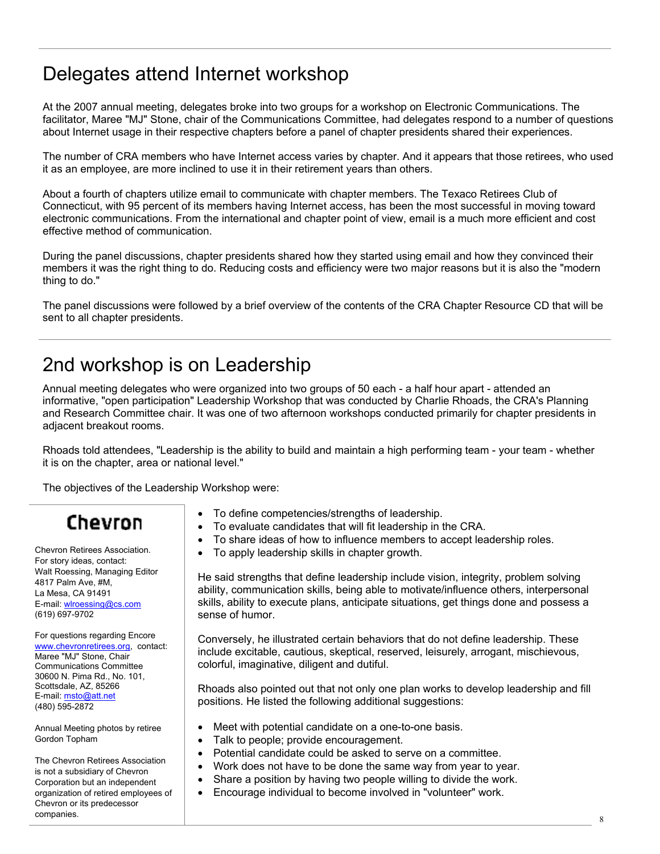# Delegates attend Internet workshop

At the 2007 annual meeting, delegates broke into two groups for a workshop on Electronic Communications. The facilitator, Maree "MJ" Stone, chair of the Communications Committee, had delegates respond to a number of questions about Internet usage in their respective chapters before a panel of chapter presidents shared their experiences.

The number of CRA members who have Internet access varies by chapter. And it appears that those retirees, who used it as an employee, are more inclined to use it in their retirement years than others.

About a fourth of chapters utilize email to communicate with chapter members. The Texaco Retirees Club of Connecticut, with 95 percent of its members having Internet access, has been the most successful in moving toward electronic communications. From the international and chapter point of view, email is a much more efficient and cost effective method of communication.

During the panel discussions, chapter presidents shared how they started using email and how they convinced their members it was the right thing to do. Reducing costs and efficiency were two major reasons but it is also the "modern thing to do."

The panel discussions were followed by a brief overview of the contents of the CRA Chapter Resource CD that will be sent to all chapter presidents.

# 2nd workshop is on Leadership

Annual meeting delegates who were organized into two groups of 50 each - a half hour apart - attended an informative, "open participation" Leadership Workshop that was conducted by Charlie Rhoads, the CRA's Planning and Research Committee chair. It was one of two afternoon workshops conducted primarily for chapter presidents in adjacent breakout rooms.

Rhoads told attendees, "Leadership is the ability to build and maintain a high performing team - your team - whether it is on the chapter, area or national level."

The objectives of the Leadership Workshop were:

# Chevron

Chevron Retirees Association. For story ideas, contact: Walt Roessing, Managing Editor 4817 Palm Ave, #M, La Mesa, CA 91491 E-mail: wlroessing@cs.com (619) 697-9702

For questions regarding Encore www.chevronretirees.org, contact: Maree "MJ" Stone, Chair Communications Committee 30600 N. Pima Rd., No. 101, Scottsdale, AZ, 85266 E-mail: msto@att.net (480) 595-2872

Annual Meeting photos by retiree Gordon Topham

The Chevron Retirees Association is not a subsidiary of Chevron Corporation but an independent organization of retired employees of Chevron or its predecessor  $\blacksquare$ 

- To define competencies/strengths of leadership.
- To evaluate candidates that will fit leadership in the CRA.
- To share ideas of how to influence members to accept leadership roles.
- To apply leadership skills in chapter growth.

He said strengths that define leadership include vision, integrity, problem solving ability, communication skills, being able to motivate/influence others, interpersonal skills, ability to execute plans, anticipate situations, get things done and possess a sense of humor.

Conversely, he illustrated certain behaviors that do not define leadership. These include excitable, cautious, skeptical, reserved, leisurely, arrogant, mischievous, colorful, imaginative, diligent and dutiful.

Rhoads also pointed out that not only one plan works to develop leadership and fill positions. He listed the following additional suggestions:

- Meet with potential candidate on a one-to-one basis.
- Talk to people; provide encouragement.
- Potential candidate could be asked to serve on a committee.
- Work does not have to be done the same way from year to year.
- Share a position by having two people willing to divide the work.
- Encourage individual to become involved in "volunteer" work.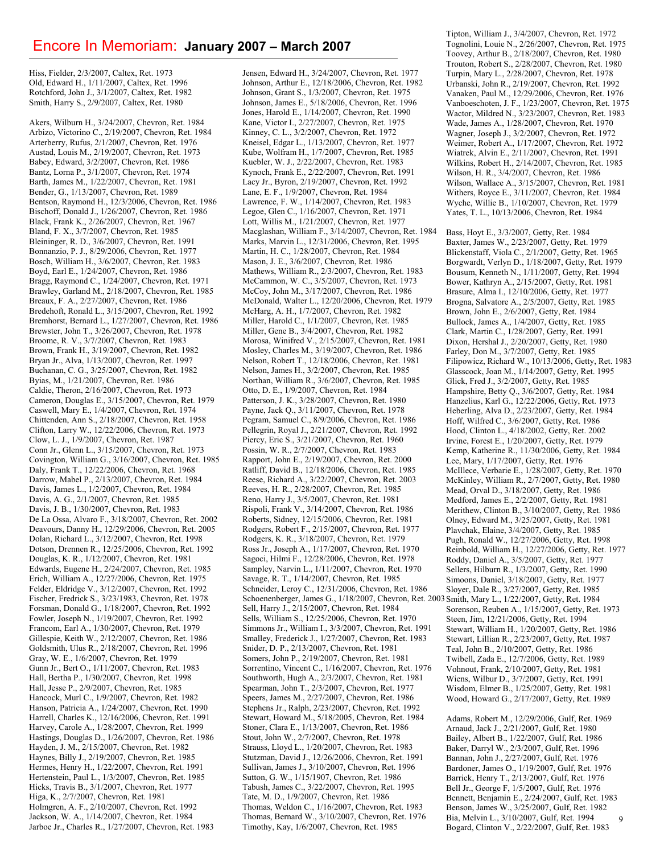### Encore In Memoriam: **January 2007 – March 2007**

Hiss, Fielder, 2/3/2007, Caltex, Ret. 1973 Old, Edward H., 1/11/2007, Caltex, Ret. 1996 Rotchford, John J., 3/1/2007, Caltex, Ret. 1982 Smith, Harry S., 2/9/2007, Caltex, Ret. 1980

Akers, Wilburn H., 3/24/2007, Chevron, Ret. 1984 Arbizo, Victorino C., 2/19/2007, Chevron, Ret. 1984 Arterberry, Rufus, 2/1/2007, Chevron, Ret. 1976 Austad, Louis M., 2/19/2007, Chevron, Ret. 1973 Babey, Edward, 3/2/2007, Chevron, Ret. 1986 Bantz, Lorna P., 3/1/2007, Chevron, Ret. 1974 Barth, James M., 1/22/2007, Chevron, Ret. 1981 Bender, G., 1/13/2007, Chevron, Ret. 1989 Bentson, Raymond H., 12/3/2006, Chevron, Ret. 1986 Bischoff, Donald J., 1/26/2007, Chevron, Ret. 1986 Black, Frank K., 2/26/2007, Chevron, Ret. 1967 Bland, F. X., 3/7/2007, Chevron, Ret. 1985 Bleininger, R. D., 3/6/2007, Chevron, Ret. 1991 Bonnanzio, P. J., 8/29/2006, Chevron, Ret. 1977 Bosch, William H., 3/6/2007, Chevron, Ret. 1983 Boyd, Earl E., 1/24/2007, Chevron, Ret. 1986 Bragg, Raymond C., 1/24/2007, Chevron, Ret. 1971 Brawley, Garland M., 2/18/2007, Chevron, Ret. 1985 Breaux, F. A., 2/27/2007, Chevron, Ret. 1986 Bredehoft, Ronald L., 3/15/2007, Chevron, Ret. 1992 Bremhorst, Bernard L., 1/27/2007, Chevron, Ret. 1986 Brewster, John T., 3/26/2007, Chevron, Ret. 1978 Broome, R. V., 3/7/2007, Chevron, Ret. 1983 Brown, Frank H., 3/19/2007, Chevron, Ret. 1982 Bryan Jr., Alva, 1/13/2007, Chevron, Ret. 1997 Buchanan, C. G., 3/25/2007, Chevron, Ret. 1982 Byias, M., 1/21/2007, Chevron, Ret. 1986 Caldie, Theron, 2/16/2007, Chevron, Ret. 1973 Cameron, Douglas E., 3/15/2007, Chevron, Ret. 1979 Caswell, Mary E., 1/4/2007, Chevron, Ret. 1974 Chittenden, Ann S., 2/18/2007, Chevron, Ret. 1958 Clifton, Larry W., 12/22/2006, Chevron, Ret. 1973 Clow, L. J., 1/9/2007, Chevron, Ret. 1987 Conn Jr., Glenn L., 3/15/2007, Chevron, Ret. 1973 Covington, William G., 3/16/2007, Chevron, Ret. 1985 Daly, Frank T., 12/22/2006, Chevron, Ret. 1968 Darrow, Mabel P., 2/13/2007, Chevron, Ret. 1984 Davis, James L., 1/2/2007, Chevron, Ret. 1984 Davis, A. G., 2/1/2007, Chevron, Ret. 1985 Davis, J. B., 1/30/2007, Chevron, Ret. 1983 De La Ossa, Alvaro F., 3/18/2007, Chevron, Ret. 2002 Deavours, Danny H., 12/29/2006, Chevron, Ret. 2005 Dolan, Richard L., 3/12/2007, Chevron, Ret. 1998 Dotson, Drennen R., 12/25/2006, Chevron, Ret. 1992 Douglas, K. R., 1/12/2007, Chevron, Ret. 1981 Edwards, Eugene H., 2/24/2007, Chevron, Ret. 1985 Erich, William A., 12/27/2006, Chevron, Ret. 1975 Felder, Eldridge V., 3/12/2007, Chevron, Ret. 1992 Fischer, Fredrick S., 3/23/1983, Chevron, Ret. 1978 Forsman, Donald G., 1/18/2007, Chevron, Ret. 1992 Fowler, Joseph N., 1/19/2007, Chevron, Ret. 1992 Francom, Earl A., 1/30/2007, Chevron, Ret. 1979 Gillespie, Keith W., 2/12/2007, Chevron, Ret. 1986 Goldsmith, Ulus R., 2/18/2007, Chevron, Ret. 1996 Gray, W. E., 1/6/2007, Chevron, Ret. 1979 Gunn Jr., Bert O., 1/11/2007, Chevron, Ret. 1983 Hall, Bertha P., 1/30/2007, Chevron, Ret. 1998 Hall, Jesse P., 2/9/2007, Chevron, Ret. 1985 Hancock, Murl C., 1/9/2007, Chevron, Ret. 1982 Hanson, Patricia A., 1/24/2007, Chevron, Ret. 1990 Harrell, Charles K., 12/16/2006, Chevron, Ret. 1991 Harvey, Carole A., 1/28/2007, Chevron, Ret. 1999 Hastings, Douglas D., 1/26/2007, Chevron, Ret. 1986 Hayden, J. M., 2/15/2007, Chevron, Ret. 1982 Haynes, Billy J., 2/19/2007, Chevron, Ret. 1985 Hermes, Henry H., 1/22/2007, Chevron, Ret. 1991 Hertenstein, Paul L., 1/3/2007, Chevron, Ret. 1985 Hicks, Travis B., 3/1/2007, Chevron, Ret. 1977 Higa, K., 2/7/2007, Chevron, Ret. 1981 Holmgren, A. F., 2/10/2007, Chevron, Ret. 1992 Jackson, W. A., 1/14/2007, Chevron, Ret. 1984 Jarboe Jr., Charles R., 1/27/2007, Chevron, Ret. 1983

Jensen, Edward H., 3/24/2007, Chevron, Ret. 1977 Johnson, Arthur E., 12/18/2006, Chevron, Ret. 1982 Johnson, Grant S., 1/3/2007, Chevron, Ret. 1975 Johnson, James E., 5/18/2006, Chevron, Ret. 1996 Jones, Harold E., 1/14/2007, Chevron, Ret. 1990 Kane, Victor I., 2/27/2007, Chevron, Ret. 1975 Kinney, C. L., 3/2/2007, Chevron, Ret. 1972 Kneisel, Edgar L., 1/13/2007, Chevron, Ret. 1977 Kube, Wolfram H., 1/7/2007, Chevron, Ret. 1985 Kuebler, W. J., 2/22/2007, Chevron, Ret. 1983 Kynoch, Frank E., 2/22/2007, Chevron, Ret. 1991 Lacy Jr., Byron, 2/19/2007, Chevron, Ret. 1992 Lane, E. F., 1/9/2007, Chevron, Ret. 1984 Lawrence, F. W., 1/14/2007, Chevron, Ret. 1983 Legoe, Glen C., 1/16/2007, Chevron, Ret. 1971 Lott, Willis M., 1/21/2007, Chevron, Ret. 1977 Macglashan, William F., 3/14/2007, Chevron, Ret. 1984 Marks, Marvin L., 12/31/2006, Chevron, Ret. 1995 Martin, H. C., 1/28/2007, Chevron, Ret. 1984 Mason, J. E., 3/6/2007, Chevron, Ret. 1986 Mathews, William R., 2/3/2007, Chevron, Ret. 1983 McCammon, W. C., 3/5/2007, Chevron, Ret. 1973 McCoy, John M., 3/17/2007, Chevron, Ret. 1986 McDonald, Walter L., 12/20/2006, Chevron, Ret. 1979 McHarg, A. H., 1/7/2007, Chevron, Ret. 1982 Miller, Harold C., 1/1/2007, Chevron, Ret. 1985 Miller, Gene B., 3/4/2007, Chevron, Ret. 1982 Morosa, Winifred V., 2/15/2007, Chevron, Ret. 1981 Mosley, Charles M., 3/19/2007, Chevron, Ret. 1986 Nelson, Robert T., 12/18/2006, Chevron, Ret. 1981 Nelson, James H., 3/2/2007, Chevron, Ret. 1985 Northan, William R., 3/6/2007, Chevron, Ret. 1985 Otto, D. E., 1/9/2007, Chevron, Ret. 1984 Patterson, J. K., 3/28/2007, Chevron, Ret. 1980 Payne, Jack Q., 3/11/2007, Chevron, Ret. 1978 Pegram, Samuel C., 8/9/2006, Chevron, Ret. 1986 Pellegrin, Royal J., 2/21/2007, Chevron, Ret. 1992 Piercy, Eric S., 3/21/2007, Chevron, Ret. 1960 Possin, W. R., 2/7/2007, Chevron, Ret. 1983 Rapport, John E., 2/19/2007, Chevron, Ret. 2000 Ratliff, David B., 12/18/2006, Chevron, Ret. 1985 Reese, Richard A., 3/22/2007, Chevron, Ret. 2003 Reeves, H. R., 2/28/2007, Chevron, Ret. 1985 Reno, Harry J., 3/5/2007, Chevron, Ret. 1981 Rispoli, Frank V., 3/14/2007, Chevron, Ret. 1986 Roberts, Sidney, 12/15/2006, Chevron, Ret. 1981 Rodgers, Robert F., 2/15/2007, Chevron, Ret. 1977 Rodgers, K. R., 3/18/2007, Chevron, Ret. 1979 Ross Jr., Joseph A., 1/17/2007, Chevron, Ret. 1970 Sagoci, Hilmi F., 12/28/2006, Chevron, Ret. 1978 Sampley, Narvin L., 1/11/2007, Chevron, Ret. 1970 Savage, R. T., 1/14/2007, Chevron, Ret. 1985 Schneider, Leroy C., 12/31/2006, Chevron, Ret. 1986 Schoenenberger, James G., 1/18/2007, Chevron, Ret. 2003 Smith, Mary L., 1/22/2007, Getty, Ret. 1984 Sell, Harry J., 2/15/2007, Chevron, Ret. 1984 Sells, William S., 12/25/2006, Chevron, Ret. 1970 Simmons Jr., William I., 3/3/2007, Chevron, Ret. 1991 Smalley, Frederick J., 1/27/2007, Chevron, Ret. 1983 Snider, D. P., 2/13/2007, Chevron, Ret. 1981 Somers, John P., 2/19/2007, Chevron, Ret. 1981 Sorrentino, Vincent C., 1/16/2007, Chevron, Ret. 1976 Southworth, Hugh A., 2/3/2007, Chevron, Ret. 1981 Spearman, John T., 2/3/2007, Chevron, Ret. 1977 Speers, James M., 2/27/2007, Chevron, Ret. 1986 Stephens Jr., Ralph, 2/23/2007, Chevron, Ret. 1992 Stewart, Howard M., 5/18/2005, Chevron, Ret. 1984 Stoner, Clara E., 1/13/2007, Chevron, Ret. 1986 Stout, John W., 2/7/2007, Chevron, Ret. 1978 Strauss, Lloyd L., 1/20/2007, Chevron, Ret. 1983 Stutzman, David J., 12/26/2006, Chevron, Ret. 1991 Sullivan, James J., 3/10/2007, Chevron, Ret. 1996 Sutton, G. W., 1/15/1907, Chevron, Ret. 1986 Tabush, James C., 3/22/2007, Chevron, Ret. 1995 Tate, M. D., 1/9/2007, Chevron, Ret. 1986 Thomas, Weldon C., 1/16/2007, Chevron, Ret. 1983 Thomas, Bernard W., 3/10/2007, Chevron, Ret. 1976 Timothy, Kay, 1/6/2007, Chevron, Ret. 1985

Tipton, William J., 3/4/2007, Chevron, Ret. 1972 Tognolini, Louie N., 2/26/2007, Chevron, Ret. 1975 Toovey, Arthur B., 2/18/2007, Chevron, Ret. 1980 Trouton, Robert S., 2/28/2007, Chevron, Ret. 1980 Turpin, Mary L., 2/28/2007, Chevron, Ret. 1978 Urbanski, John R., 2/19/2007, Chevron, Ret. 1992 Vanaken, Paul M., 12/29/2006, Chevron, Ret. 1976 Vanboeschoten, J. F., 1/23/2007, Chevron, Ret. 1975 Wactor, Mildred N., 3/23/2007, Chevron, Ret. 1983 Wade, James A., 1/28/2007, Chevron, Ret. 1970 Wagner, Joseph J., 3/2/2007, Chevron, Ret. 1972 Weimer, Robert A., 1/17/2007, Chevron, Ret. 1972 Wiatrek, Alvin E., 2/11/2007, Chevron, Ret. 1991 Wilkins, Robert H., 2/14/2007, Chevron, Ret. 1985 Wilson, H. R., 3/4/2007, Chevron, Ret. 1986 Wilson, Wallace A., 3/15/2007, Chevron, Ret. 1981 Withers, Royce E., 3/11/2007, Chevron, Ret. 1984 Wyche, Willie B., 1/10/2007, Chevron, Ret. 1979 Yates, T. L., 10/13/2006, Chevron, Ret. 1984

Bass, Hoyt E., 3/3/2007, Getty, Ret. 1984 Baxter, James W., 2/23/2007, Getty, Ret. 1979 Blickenstaff, Viola C., 2/1/2007, Getty, Ret. 1965 Borgwardt, Verlyn D., 1/18/2007, Getty, Ret. 1979 Bousum, Kenneth N., 1/11/2007, Getty, Ret. 1994 Bower, Kathryn A., 2/15/2007, Getty, Ret. 1981 Brasure, Alma I., 12/10/2006, Getty, Ret. 1977 Brogna, Salvatore A., 2/5/2007, Getty, Ret. 1985 Brown, John E., 2/6/2007, Getty, Ret. 1984 Bullock, James A., 1/4/2007, Getty, Ret. 1985 Clark, Martin C., 1/28/2007, Getty, Ret. 1991 Dixon, Hershal J., 2/20/2007, Getty, Ret. 1980 Farley, Don M., 3/7/2007, Getty, Ret. 1985 Filipowicz, Richard W., 10/13/2006, Getty, Ret. 1983 Glasscock, Joan M., 1/14/2007, Getty, Ret. 1995 Glick, Fred J., 3/2/2007, Getty, Ret. 1985 Hampshire, Betty Q., 3/6/2007, Getty, Ret. 1984 Hanzelius, Karl G., 12/22/2006, Getty, Ret. 1973 Heberling, Alva D., 2/23/2007, Getty, Ret. 1984 Hoff, Wilfred C., 3/6/2007, Getty, Ret. 1986 Hood, Clinton L., 4/18/2002, Getty, Ret. 2002 Irvine, Forest E., 1/20/2007, Getty, Ret. 1979 Kemp, Katherine R., 11/30/2006, Getty, Ret. 1984 Lee, Mary, 1/17/2007, Getty, Ret. 1976 McIllece, Verbarie E., 1/28/2007, Getty, Ret. 1970 McKinley, William R., 2/7/2007, Getty, Ret. 1980 Mead, Orval D., 3/18/2007, Getty, Ret. 1986 Medford, James E., 2/2/2007, Getty, Ret. 1981 Merithew, Clinton B., 3/10/2007, Getty, Ret. 1986 Olney, Edward M., 3/25/2007, Getty, Ret. 1981 Plavchak, Elaine, 3/4/2007, Getty, Ret. 1985 Pugh, Ronald W., 12/27/2006, Getty, Ret. 1998 Reinbold, William H., 12/27/2006, Getty, Ret. 1977 Roddy, Daniel A., 3/5/2007, Getty, Ret. 1977 Sellers, Hilburn R., 1/3/2007, Getty, Ret. 1990 Simoons, Daniel, 3/18/2007, Getty, Ret. 1977 Sloyer, Dale R., 3/27/2007, Getty, Ret. 1985 Sorenson, Reuben A., 1/15/2007, Getty, Ret. 1973 Steen, Jim, 12/21/2006, Getty, Ret. 1994 Stewart, William H., 1/20/2007, Getty, Ret. 1986 Stewart, Lillian R., 2/23/2007, Getty, Ret. 1987 Teal, John B., 2/10/2007, Getty, Ret. 1986

Twibell, Zada E., 12/7/2006, Getty, Ret. 1989 Vohnout, Frank, 2/10/2007, Getty, Ret. 1981 Wiens, Wilbur D., 3/7/2007, Getty, Ret. 1991 Wisdom, Elmer B., 1/25/2007, Getty, Ret. 1981 Wood, Howard G., 2/17/2007, Getty, Ret. 1989

9 Adams, Robert M., 12/29/2006, Gulf, Ret. 1969 Arnaud, Jack J., 2/21/2007, Gulf, Ret. 1980 Bailey, Albert B., 1/22/2007, Gulf, Ret. 1986 Baker, Darryl W., 2/3/2007, Gulf, Ret. 1996 Bannan, John J., 2/27/2007, Gulf, Ret. 1976 Bardoner, James O., 1/19/2007, Gulf, Ret. 1976 Barrick, Henry T., 2/13/2007, Gulf, Ret. 1976 Bell Jr., George F, 1/5/2007, Gulf, Ret. 1976 Bennett, Benjamin E., 2/24/2007, Gulf, Ret. 1983 Benson, James W., 3/25/2007, Gulf, Ret. 1982 Bia, Melvin L., 3/10/2007, Gulf, Ret. 1994 Bogard, Clinton V., 2/22/2007, Gulf, Ret. 1983